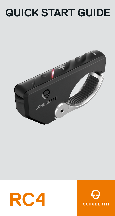# **QUICK START GUIDE**





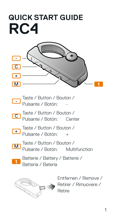## **QUICK START GUIDE RC4**



- Taste / Button / Bouton / Pulsante / Botón: - -
- Taste / Button / Bouton / Pulsante / Botón: Center  $\overline{C}$
- Taste / Button / Bouton / + Pulsante / Botón: +
- Taste / Button / Bouton / M Pulsante / Botón: Multifunction
- Batterie / Battery / Batterie / Batteria / Batería **1**



Entfernen / Remove / Retirer / Rimuovere / Retire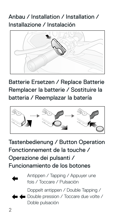## Anbau / Installation / Installation / Installazione / Instalación



Batterie Ersetzen / Replace Batterie Remplacer la batterie / Sostituire la batteria / Reemplazar la batería



Tastenbedienung / Button Operation Fonctionnement de la touche / Operazione dei pulsanti / Funcionamiento de los botones



Antippen / Tapping / Appuyer une fois / Toccare / Pulsación

Doppelt antippen / Double Tapping /

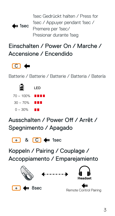1sec Gedrückt halten / Press for 1sec / Appuyer pendant 1sec / Premere per 1sec/ Presionar durante 1seg  $4m$  1sec

## Einschalten / Power On / Marche / Accensione / Encendido



Batterie / Batterie / Batterie / Batteria / Batería

| EI                  | LED |
|---------------------|-----|
| $70\sim100\%$ the t |     |
| 30 ~ 70%            | .   |
| $0 - 30\%$          | HП  |

Ausschalten / Power Off / Arrêt / Spegnimento / Apagado



Koppeln / Pairing / Couplage / Accoppiamento / Emparejamiento